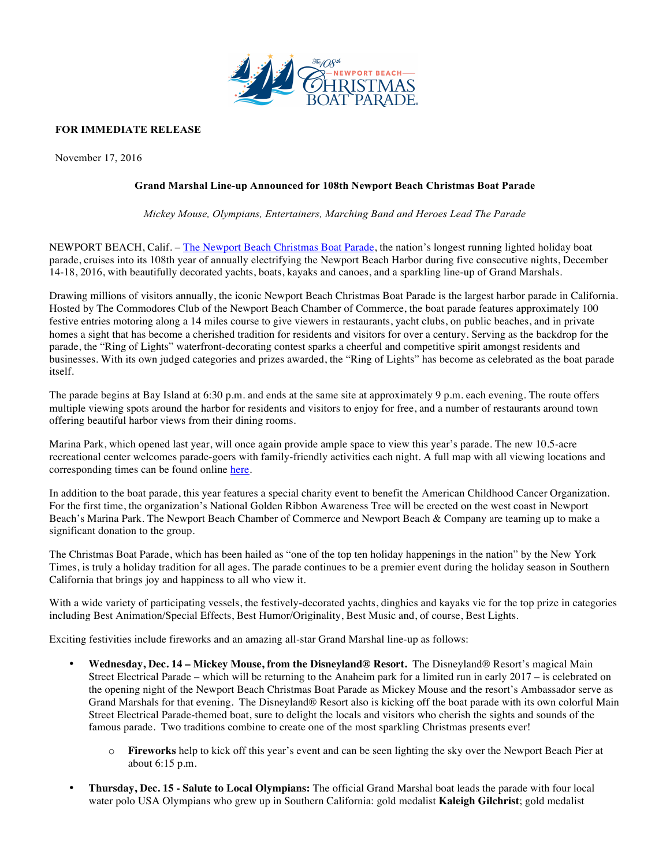

# **FOR IMMEDIATE RELEASE**

November 17, 2016

## **Grand Marshal Line-up Announced for 108th Newport Beach Christmas Boat Parade**

*Mickey Mouse, Olympians, Entertainers, Marching Band and Heroes Lead The Parade*

NEWPORT BEACH, Calif. – The Newport Beach Christmas Boat Parade, the nation's longest running lighted holiday boat parade, cruises into its 108th year of annually electrifying the Newport Beach Harbor during five consecutive nights, December 14-18, 2016, with beautifully decorated yachts, boats, kayaks and canoes, and a sparkling line-up of Grand Marshals.

Drawing millions of visitors annually, the iconic Newport Beach Christmas Boat Parade is the largest harbor parade in California. Hosted by The Commodores Club of the Newport Beach Chamber of Commerce, the boat parade features approximately 100 festive entries motoring along a 14 miles course to give viewers in restaurants, yacht clubs, on public beaches, and in private homes a sight that has become a cherished tradition for residents and visitors for over a century. Serving as the backdrop for the parade, the "Ring of Lights" waterfront-decorating contest sparks a cheerful and competitive spirit amongst residents and businesses. With its own judged categories and prizes awarded, the "Ring of Lights" has become as celebrated as the boat parade itself.

The parade begins at Bay Island at 6:30 p.m. and ends at the same site at approximately 9 p.m. each evening. The route offers multiple viewing spots around the harbor for residents and visitors to enjoy for free, and a number of restaurants around town offering beautiful harbor views from their dining rooms.

Marina Park, which opened last year, will once again provide ample space to view this year's parade. The new 10.5-acre recreational center welcomes parade-goers with family-friendly activities each night. A full map with all viewing locations and corresponding times can be found online here.

In addition to the boat parade, this year features a special charity event to benefit the American Childhood Cancer Organization. For the first time, the organization's National Golden Ribbon Awareness Tree will be erected on the west coast in Newport Beach's Marina Park. The Newport Beach Chamber of Commerce and Newport Beach & Company are teaming up to make a significant donation to the group.

The Christmas Boat Parade, which has been hailed as "one of the top ten holiday happenings in the nation" by the New York Times, is truly a holiday tradition for all ages. The parade continues to be a premier event during the holiday season in Southern California that brings joy and happiness to all who view it.

With a wide variety of participating vessels, the festively-decorated vachts, dinghies and kayaks vie for the top prize in categories including Best Animation/Special Effects, Best Humor/Originality, Best Music and, of course, Best Lights.

Exciting festivities include fireworks and an amazing all-star Grand Marshal line-up as follows:

- **Wednesday, Dec. 14 – Mickey Mouse, from the Disneyland® Resort.** The Disneyland® Resort's magical Main Street Electrical Parade – which will be returning to the Anaheim park for a limited run in early 2017 – is celebrated on the opening night of the Newport Beach Christmas Boat Parade as Mickey Mouse and the resort's Ambassador serve as Grand Marshals for that evening. The Disneyland® Resort also is kicking off the boat parade with its own colorful Main Street Electrical Parade-themed boat, sure to delight the locals and visitors who cherish the sights and sounds of the famous parade. Two traditions combine to create one of the most sparkling Christmas presents ever!
	- o **Fireworks** help to kick off this year's event and can be seen lighting the sky over the Newport Beach Pier at about 6:15 p.m.
- **Thursday, Dec. 15 - Salute to Local Olympians:** The official Grand Marshal boat leads the parade with four local water polo USA Olympians who grew up in Southern California: gold medalist **Kaleigh Gilchrist**; gold medalist